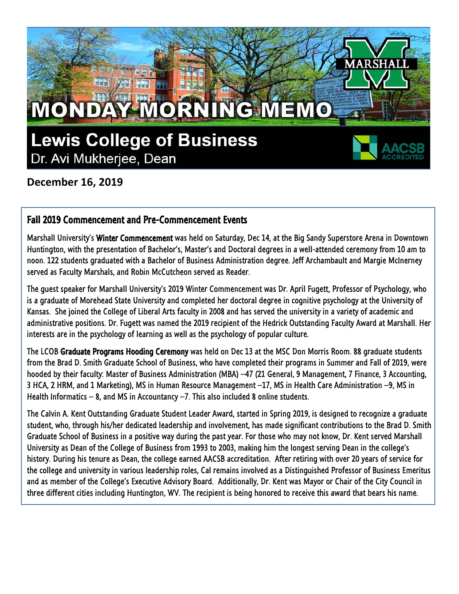

**December 16, 2019**

#### Fall 2019 Commencement and Pre-Commencement Events

Marshall University's Winter Commencement was held on Saturday, Dec 14, at the Big Sandy Superstore Arena in Downtown Huntington, with the presentation of Bachelor's, Master's and Doctoral degrees in a well-attended ceremony from 10 am to noon. 122 students graduated with a Bachelor of Business Administration degree. Jeff Archambault and Margie McInerney served as Faculty Marshals, and Robin McCutcheon served as Reader.

The guest speaker for Marshall University's 2019 Winter Commencement was Dr. April Fugett, Professor of Psychology, who is a graduate of Morehead State University and completed her doctoral degree in cognitive psychology at the University of Kansas. She joined the College of Liberal Arts faculty in 2008 and has served the university in a variety of academic and administrative positions. Dr. Fugett was named the 2019 recipient of the Hedrick Outstanding Faculty Award at Marshall. Her interests are in the psychology of learning as well as the psychology of popular culture.

The LCOB Graduate Programs Hooding Ceremony was held on Dec 13 at the MSC Don Morris Room. 88 graduate students from the Brad D. Smith Graduate School of Business, who have completed their programs in Summer and Fall of 2019, were hooded by their faculty: Master of Business Administration (MBA) –47 (21 General, 9 Management, 7 Finance, 3 Accounting, 3 HCA, 2 HRM, and 1 Marketing), MS in Human Resource Management –17, MS in Health Care Administration –9, MS in Health Informatics  $-$  8, and MS in Accountancy  $-7$ . This also included 8 online students.

The Calvin A. Kent Outstanding Graduate Student Leader Award, started in Spring 2019, is designed to recognize a graduate student, who, through his/her dedicated leadership and involvement, has made significant contributions to the Brad D. Smith Graduate School of Business in a positive way during the past year. For those who may not know, Dr. Kent served Marshall University as Dean of the College of Business from 1993 to 2003, making him the longest serving Dean in the college's history. During his tenure as Dean, the college earned AACSB accreditation. After retiring with over 20 years of service for the college and university in various leadership roles, Cal remains involved as a Distinguished Professor of Business Emeritus and as member of the College's Executive Advisory Board. Additionally, Dr. Kent was Mayor or Chair of the City Council in three different cities including Huntington, WV. The recipient is being honored to receive this award that bears his name.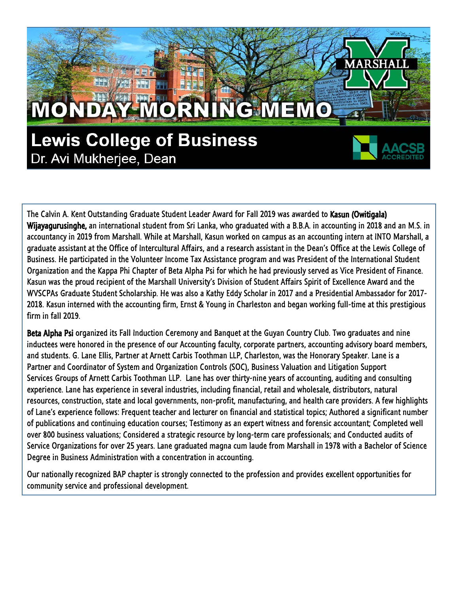# MONDAY MORNING MEMO

**Lewis College of Business** Dr. Avi Mukherjee, Dean

The Calvin A. Kent Outstanding Graduate Student Leader Award for Fall 2019 was awarded to Kasun (Owitigala) Wijayagurusinghe, an international student from Sri Lanka, who graduated with a B.B.A. in accounting in 2018 and an M.S. in accountancy in 2019 from Marshall. While at Marshall, Kasun worked on campus as an accounting intern at INTO Marshall, a graduate assistant at the Office of Intercultural Affairs, and a research assistant in the Dean's Office at the Lewis College of Business. He participated in the Volunteer Income Tax Assistance program and was President of the International Student Organization and the Kappa Phi Chapter of Beta Alpha Psi for which he had previously served as Vice President of Finance. Kasun was the proud recipient of the Marshall University's Division of Student Affairs Spirit of Excellence Award and the WVSCPAs Graduate Student Scholarship. He was also a Kathy Eddy Scholar in 2017 and a Presidential Ambassador for 2017- 2018. Kasun interned with the accounting firm, Ernst & Young in Charleston and began working full-time at this prestigious firm in fall 2019.

**ARSE** 

Beta Alpha Psi organized its Fall Induction Ceremony and Banquet at the Guyan Country Club. Two graduates and nine inductees were honored in the presence of our Accounting faculty, corporate partners, accounting advisory board members, and students. G. Lane Ellis, Partner at Arnett Carbis Toothman LLP, Charleston, was the Honorary Speaker. Lane is a Partner and Coordinator of System and Organization Controls (SOC), Business Valuation and Litigation Support Services Groups of Arnett Carbis Toothman LLP. Lane has over thirty-nine years of accounting, auditing and consulting experience. Lane has experience in several industries, including financial, retail and wholesale, distributors, natural resources, construction, state and local governments, non-profit, manufacturing, and health care providers. A few highlights of Lane's experience follows: Frequent teacher and lecturer on financial and statistical topics; Authored a significant number of publications and continuing education courses; Testimony as an expert witness and forensic accountant; Completed well over 800 business valuations; Considered a strategic resource by long-term care professionals; and Conducted audits of Service Organizations for over 25 years. Lane graduated magna cum laude from Marshall in 1978 with a Bachelor of Science Degree in Business Administration with a concentration in accounting.

Our nationally recognized BAP chapter is strongly connected to the profession and provides excellent opportunities for community service and professional development.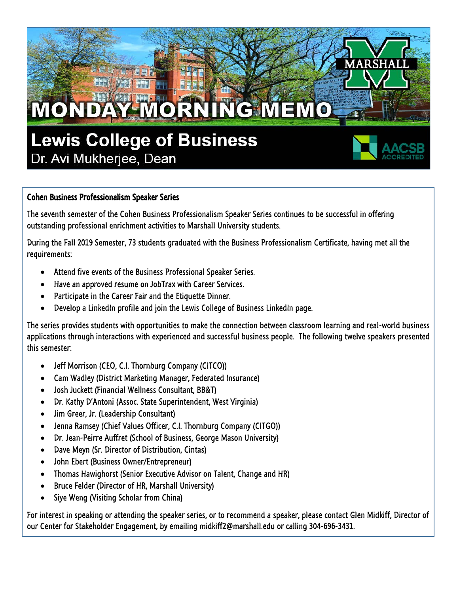

#### Cohen Business Professionalism Speaker Series

The seventh semester of the Cohen Business Professionalism Speaker Series continues to be successful in offering outstanding professional enrichment activities to Marshall University students.

During the Fall 2019 Semester, 73 students graduated with the Business Professionalism Certificate, having met all the requirements:

- Attend five events of the Business Professional Speaker Series.
- Have an approved resume on JobTrax with Career Services.
- Participate in the Career Fair and the Etiquette Dinner.
- Develop a LinkedIn profile and join the Lewis College of Business LinkedIn page.

The series provides students with opportunities to make the connection between classroom learning and real-world business applications through interactions with experienced and successful business people. The following twelve speakers presented this semester:

- Jeff Morrison (CEO, C.I. Thornburg Company (CITCO))
- Cam Wadley (District Marketing Manager, Federated Insurance)
- Josh Juckett (Financial Wellness Consultant, BB&T)
- Dr. Kathy D'Antoni (Assoc. State Superintendent, West Virginia)
- Jim Greer, Jr. (Leadership Consultant)
- Jenna Ramsey (Chief Values Officer, C.I. Thornburg Company (CITGO))
- Dr. Jean-Peirre Auffret (School of Business, George Mason University)
- Dave Meyn (Sr. Director of Distribution, Cintas)
- John Ebert (Business Owner/Entrepreneur)
- Thomas Hawighorst (Senior Executive Advisor on Talent, Change and HR)
- Bruce Felder (Director of HR, Marshall University)
- Siye Weng (Visiting Scholar from China)

For interest in speaking or attending the speaker series, or to recommend a speaker, please contact Glen Midkiff, Director of our Center for Stakeholder Engagement, by emailing midkiff2@marshall.edu or calling 304-696-3431.